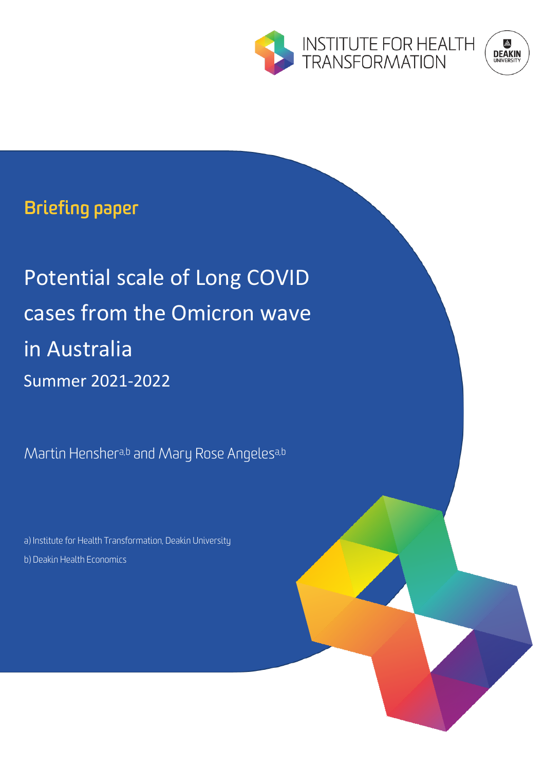

# **ENSEN**<br>DEAKIN

### **Briefing paper**

## Potential scale of Long COVID cases from the Omicron wave in Australia Summer 2021-2022

Martin Henshera,b and Mary Rose Angelesa,b

a) Institute for Health Transformation, Deakin University b) Deakin Health Economics

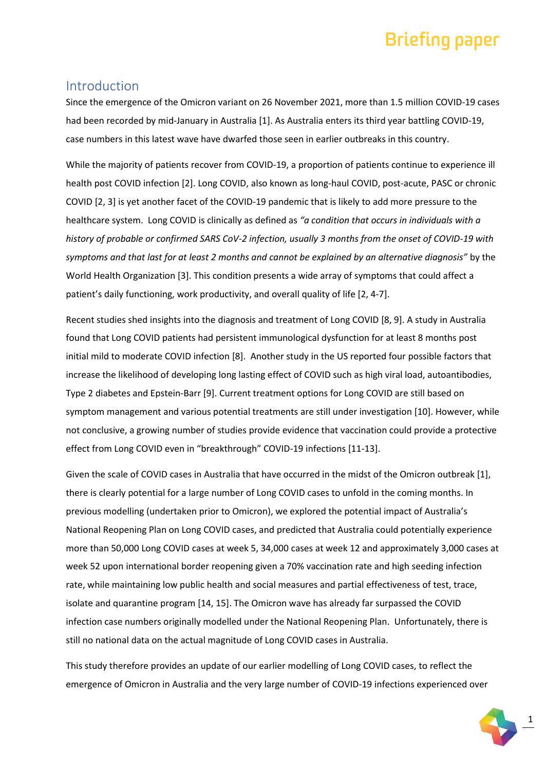#### Introduction

Since the emergence of the Omicron variant on 26 November 2021, more than 1.5 million COVID-19 cases had been recorded by mid-January in Australia [1]. As Australia enters its third year battling COVID-19, case numbers in this latest wave have dwarfed those seen in earlier outbreaks in this country.

While the majority of patients recover from COVID-19, a proportion of patients continue to experience ill health post COVID infection [2]. Long COVID, also known as long-haul COVID, post-acute, PASC or chronic COVID [2, 3] is yet another facet of the COVID-19 pandemic that is likely to add more pressure to the healthcare system. Long COVID is clinically as defined as *"a condition that occurs in individuals with a history of probable or confirmed SARS CoV-2 infection, usually 3 months from the onset of COVID-19 with symptoms and that last for at least 2 months and cannot be explained by an alternative diagnosis"* by the World Health Organization [3]. This condition presents a wide array of symptoms that could affect a patient's daily functioning, work productivity, and overall quality of life [2, 4-7].

Recent studies shed insights into the diagnosis and treatment of Long COVID [8, 9]. A study in Australia found that Long COVID patients had persistent immunological dysfunction for at least 8 months post initial mild to moderate COVID infection [8]. Another study in the US reported four possible factors that increase the likelihood of developing long lasting effect of COVID such as high viral load, autoantibodies, Type 2 diabetes and Epstein-Barr [9]. Current treatment options for Long COVID are still based on symptom management and various potential treatments are still under investigation [10]. However, while not conclusive, a growing number of studies provide evidence that vaccination could provide a protective effect from Long COVID even in "breakthrough" COVID-19 infections [11-13].

Given the scale of COVID cases in Australia that have occurred in the midst of the Omicron outbreak [1], there is clearly potential for a large number of Long COVID cases to unfold in the coming months. In previous modelling (undertaken prior to Omicron), we explored the potential impact of Australia's National Reopening Plan on Long COVID cases, and predicted that Australia could potentially experience more than 50,000 Long COVID cases at week 5, 34,000 cases at week 12 and approximately 3,000 cases at week 52 upon international border reopening given a 70% vaccination rate and high seeding infection rate, while maintaining low public health and social measures and partial effectiveness of test, trace, isolate and quarantine program [14, 15]. The Omicron wave has already far surpassed the COVID infection case numbers originally modelled under the National Reopening Plan. Unfortunately, there is still no national data on the actual magnitude of Long COVID cases in Australia.

This study therefore provides an update of our earlier modelling of Long COVID cases, to reflect the emergence of Omicron in Australia and the very large number of COVID-19 infections experienced over

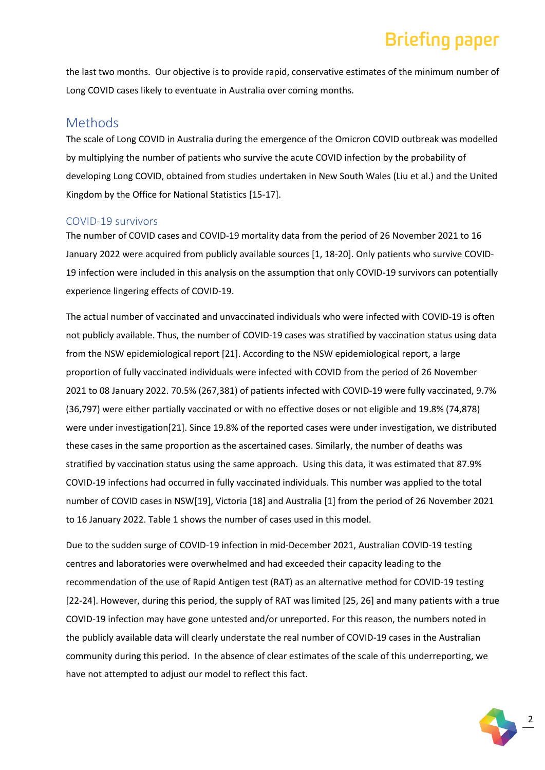the last two months. Our objective is to provide rapid, conservative estimates of the minimum number of Long COVID cases likely to eventuate in Australia over coming months.

#### Methods

The scale of Long COVID in Australia during the emergence of the Omicron COVID outbreak was modelled by multiplying the number of patients who survive the acute COVID infection by the probability of developing Long COVID, obtained from studies undertaken in New South Wales (Liu et al.) and the United Kingdom by the Office for National Statistics [15-17].

#### COVID-19 survivors

The number of COVID cases and COVID-19 mortality data from the period of 26 November 2021 to 16 January 2022 were acquired from publicly available sources [1, 18-20]. Only patients who survive COVID-19 infection were included in this analysis on the assumption that only COVID-19 survivors can potentially experience lingering effects of COVID-19.

The actual number of vaccinated and unvaccinated individuals who were infected with COVID-19 is often not publicly available. Thus, the number of COVID-19 cases was stratified by vaccination status using data from the NSW epidemiological report [21]. According to the NSW epidemiological report, a large proportion of fully vaccinated individuals were infected with COVID from the period of 26 November 2021 to 08 January 2022. 70.5% (267,381) of patients infected with COVID-19 were fully vaccinated, 9.7% (36,797) were either partially vaccinated or with no effective doses or not eligible and 19.8% (74,878) were under investigation[21]. Since 19.8% of the reported cases were under investigation, we distributed these cases in the same proportion as the ascertained cases. Similarly, the number of deaths was stratified by vaccination status using the same approach. Using this data, it was estimated that 87.9% COVID-19 infections had occurred in fully vaccinated individuals. This number was applied to the total number of COVID cases in NSW[19], Victoria [18] and Australia [1] from the period of 26 November 2021 to 16 January 2022. Table 1 shows the number of cases used in this model.

Due to the sudden surge of COVID-19 infection in mid-December 2021, Australian COVID-19 testing centres and laboratories were overwhelmed and had exceeded their capacity leading to the recommendation of the use of Rapid Antigen test (RAT) as an alternative method for COVID-19 testing [22-24]. However, during this period, the supply of RAT was limited [25, 26] and many patients with a true COVID-19 infection may have gone untested and/or unreported. For this reason, the numbers noted in the publicly available data will clearly understate the real number of COVID-19 cases in the Australian community during this period. In the absence of clear estimates of the scale of this underreporting, we have not attempted to adjust our model to reflect this fact.

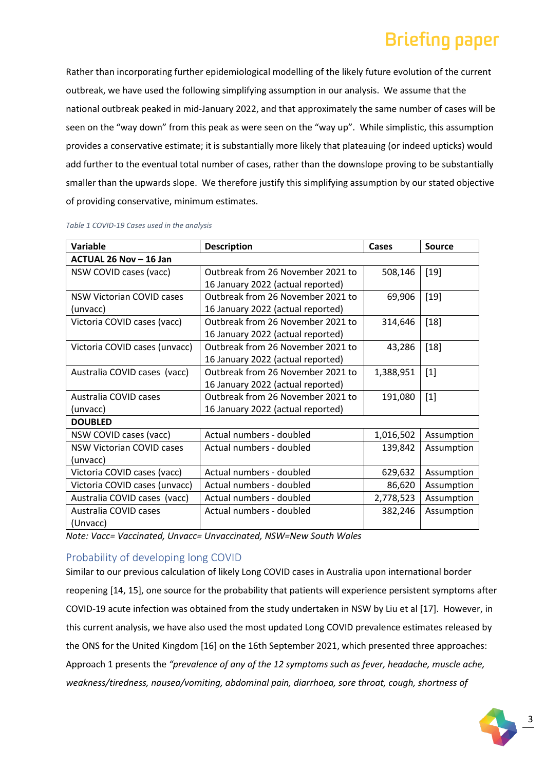Rather than incorporating further epidemiological modelling of the likely future evolution of the current outbreak, we have used the following simplifying assumption in our analysis. We assume that the national outbreak peaked in mid-January 2022, and that approximately the same number of cases will be seen on the "way down" from this peak as were seen on the "way up". While simplistic, this assumption provides a conservative estimate; it is substantially more likely that plateauing (or indeed upticks) would add further to the eventual total number of cases, rather than the downslope proving to be substantially smaller than the upwards slope. We therefore justify this simplifying assumption by our stated objective of providing conservative, minimum estimates.

| <b>Variable</b>                  | <b>Description</b>                | Cases     | Source     |
|----------------------------------|-----------------------------------|-----------|------------|
| ACTUAL 26 Nov - 16 Jan           |                                   |           |            |
| NSW COVID cases (vacc)           | Outbreak from 26 November 2021 to | 508,146   | $[19]$     |
|                                  | 16 January 2022 (actual reported) |           |            |
| <b>NSW Victorian COVID cases</b> | Outbreak from 26 November 2021 to | 69,906    | $[19]$     |
| (unvacc)                         | 16 January 2022 (actual reported) |           |            |
| Victoria COVID cases (vacc)      | Outbreak from 26 November 2021 to | 314,646   | $[18]$     |
|                                  | 16 January 2022 (actual reported) |           |            |
| Victoria COVID cases (unvacc)    | Outbreak from 26 November 2021 to | 43,286    | $[18]$     |
|                                  | 16 January 2022 (actual reported) |           |            |
| Australia COVID cases (vacc)     | Outbreak from 26 November 2021 to | 1,388,951 | $[1]$      |
|                                  | 16 January 2022 (actual reported) |           |            |
| Australia COVID cases            | Outbreak from 26 November 2021 to | 191,080   | $[1]$      |
| (unvacc)                         | 16 January 2022 (actual reported) |           |            |
| <b>DOUBLED</b>                   |                                   |           |            |
| NSW COVID cases (vacc)           | Actual numbers - doubled          | 1,016,502 | Assumption |
| <b>NSW Victorian COVID cases</b> | Actual numbers - doubled          | 139,842   | Assumption |
| (unvacc)                         |                                   |           |            |
| Victoria COVID cases (vacc)      | Actual numbers - doubled          | 629,632   | Assumption |
| Victoria COVID cases (unvacc)    | Actual numbers - doubled          | 86,620    | Assumption |
| Australia COVID cases (vacc)     | Actual numbers - doubled          | 2,778,523 | Assumption |
| Australia COVID cases            | Actual numbers - doubled          | 382,246   | Assumption |
| (Unvacc)                         |                                   |           |            |

#### *Table 1 COVID-19 Cases used in the analysis*

*Note: Vacc= Vaccinated, Unvacc= Unvaccinated, NSW=New South Wales*

#### Probability of developing long COVID

Similar to our previous calculation of likely Long COVID cases in Australia upon international border reopening [14, 15], one source for the probability that patients will experience persistent symptoms after COVID-19 acute infection was obtained from the study undertaken in NSW by Liu et al [17]. However, in this current analysis, we have also used the most updated Long COVID prevalence estimates released by the ONS for the United Kingdom [16] on the 16th September 2021, which presented three approaches: Approach 1 presents the *"prevalence of any of the 12 symptoms such as fever, headache, muscle ache, weakness/tiredness, nausea/vomiting, abdominal pain, diarrhoea, sore throat, cough, shortness of* 

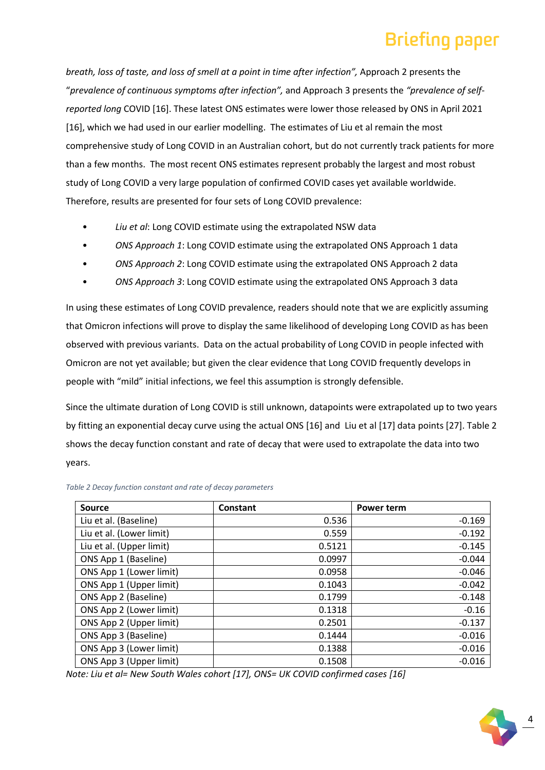*breath, loss of taste, and loss of smell at a point in time after infection",* Approach 2 presents the "*prevalence of continuous symptoms after infection",* and Approach 3 presents the *"prevalence of selfreported long* COVID [16]. These latest ONS estimates were lower those released by ONS in April 2021 [16], which we had used in our earlier modelling. The estimates of Liu et al remain the most comprehensive study of Long COVID in an Australian cohort, but do not currently track patients for more than a few months. The most recent ONS estimates represent probably the largest and most robust study of Long COVID a very large population of confirmed COVID cases yet available worldwide. Therefore, results are presented for four sets of Long COVID prevalence:

- *Liu et al*: Long COVID estimate using the extrapolated NSW data
- *ONS Approach 1*: Long COVID estimate using the extrapolated ONS Approach 1 data
- *ONS Approach 2*: Long COVID estimate using the extrapolated ONS Approach 2 data
- *ONS Approach 3*: Long COVID estimate using the extrapolated ONS Approach 3 data

In using these estimates of Long COVID prevalence, readers should note that we are explicitly assuming that Omicron infections will prove to display the same likelihood of developing Long COVID as has been observed with previous variants. Data on the actual probability of Long COVID in people infected with Omicron are not yet available; but given the clear evidence that Long COVID frequently develops in people with "mild" initial infections, we feel this assumption is strongly defensible.

Since the ultimate duration of Long COVID is still unknown, datapoints were extrapolated up to two years by fitting an exponential decay curve using the actual ONS [16] and Liu et al [17] data points [27]. Table 2 shows the decay function constant and rate of decay that were used to extrapolate the data into two years.

| Source                   | Constant | Power term |
|--------------------------|----------|------------|
| Liu et al. (Baseline)    | 0.536    | $-0.169$   |
| Liu et al. (Lower limit) | 0.559    | $-0.192$   |
| Liu et al. (Upper limit) | 0.5121   | $-0.145$   |
| ONS App 1 (Baseline)     | 0.0997   | $-0.044$   |
| ONS App 1 (Lower limit)  | 0.0958   | $-0.046$   |
| ONS App 1 (Upper limit)  | 0.1043   | $-0.042$   |
| ONS App 2 (Baseline)     | 0.1799   | $-0.148$   |
| ONS App 2 (Lower limit)  | 0.1318   | $-0.16$    |
| ONS App 2 (Upper limit)  | 0.2501   | $-0.137$   |
| ONS App 3 (Baseline)     | 0.1444   | $-0.016$   |
| ONS App 3 (Lower limit)  | 0.1388   | $-0.016$   |
| ONS App 3 (Upper limit)  | 0.1508   | $-0.016$   |

*Note: Liu et al= New South Wales cohort [17], ONS= UK COVID confirmed cases [16]*

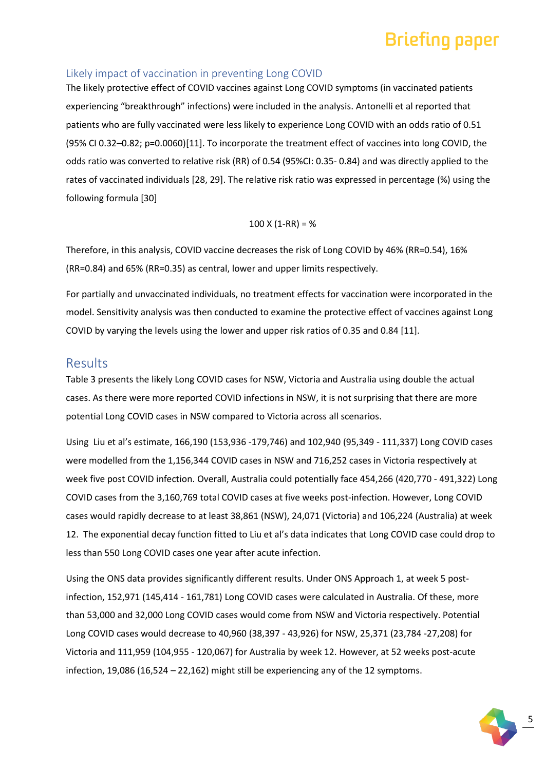#### Likely impact of vaccination in preventing Long COVID

The likely protective effect of COVID vaccines against Long COVID symptoms (in vaccinated patients experiencing "breakthrough" infections) were included in the analysis. Antonelli et al reported that patients who are fully vaccinated were less likely to experience Long COVID with an odds ratio of 0.51 (95% CI 0.32–0.82; p=0.0060)[11]. To incorporate the treatment effect of vaccines into long COVID, the odds ratio was converted to relative risk (RR) of 0.54 (95%CI: 0.35- 0.84) and was directly applied to the rates of vaccinated individuals [28, 29]. The relative risk ratio was expressed in percentage (%) using the following formula [30]

#### $100$  X (1-RR) = %

Therefore, in this analysis, COVID vaccine decreases the risk of Long COVID by 46% (RR=0.54), 16% (RR=0.84) and 65% (RR=0.35) as central, lower and upper limits respectively.

For partially and unvaccinated individuals, no treatment effects for vaccination were incorporated in the model. Sensitivity analysis was then conducted to examine the protective effect of vaccines against Long COVID by varying the levels using the lower and upper risk ratios of 0.35 and 0.84 [11].

#### Results

Table 3 presents the likely Long COVID cases for NSW, Victoria and Australia using double the actual cases. As there were more reported COVID infections in NSW, it is not surprising that there are more potential Long COVID cases in NSW compared to Victoria across all scenarios.

Using Liu et al's estimate, 166,190 (153,936 -179,746) and 102,940 (95,349 - 111,337) Long COVID cases were modelled from the 1,156,344 COVID cases in NSW and 716,252 cases in Victoria respectively at week five post COVID infection. Overall, Australia could potentially face 454,266 (420,770 - 491,322) Long COVID cases from the 3,160,769 total COVID cases at five weeks post-infection. However, Long COVID cases would rapidly decrease to at least 38,861 (NSW), 24,071 (Victoria) and 106,224 (Australia) at week 12. The exponential decay function fitted to Liu et al's data indicates that Long COVID case could drop to less than 550 Long COVID cases one year after acute infection.

Using the ONS data provides significantly different results. Under ONS Approach 1, at week 5 postinfection, 152,971 (145,414 - 161,781) Long COVID cases were calculated in Australia. Of these, more than 53,000 and 32,000 Long COVID cases would come from NSW and Victoria respectively. Potential Long COVID cases would decrease to 40,960 (38,397 - 43,926) for NSW, 25,371 (23,784 -27,208) for Victoria and 111,959 (104,955 - 120,067) for Australia by week 12. However, at 52 weeks post-acute infection, 19,086 (16,524 – 22,162) might still be experiencing any of the 12 symptoms.

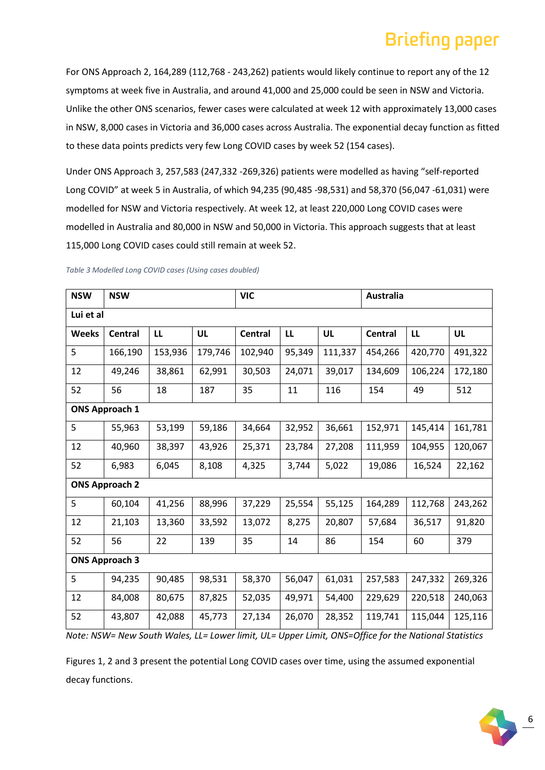For ONS Approach 2, 164,289 (112,768 - 243,262) patients would likely continue to report any of the 12 symptoms at week five in Australia, and around 41,000 and 25,000 could be seen in NSW and Victoria. Unlike the other ONS scenarios, fewer cases were calculated at week 12 with approximately 13,000 cases in NSW, 8,000 cases in Victoria and 36,000 cases across Australia. The exponential decay function as fitted to these data points predicts very few Long COVID cases by week 52 (154 cases).

Under ONS Approach 3, 257,583 (247,332 -269,326) patients were modelled as having "self-reported Long COVID" at week 5 in Australia, of which 94,235 (90,485 -98,531) and 58,370 (56,047 -61,031) were modelled for NSW and Victoria respectively. At week 12, at least 220,000 Long COVID cases were modelled in Australia and 80,000 in NSW and 50,000 in Victoria. This approach suggests that at least 115,000 Long COVID cases could still remain at week 52.

| <b>NSW</b>            | <b>NSW</b>            |         |         | <b>VIC</b>     |        |         | <b>Australia</b> |         |           |
|-----------------------|-----------------------|---------|---------|----------------|--------|---------|------------------|---------|-----------|
| Lui et al             |                       |         |         |                |        |         |                  |         |           |
| <b>Weeks</b>          | <b>Central</b>        | LL      | UL      | <b>Central</b> | LL     | UL      | <b>Central</b>   | LL      | <b>UL</b> |
| 5                     | 166,190               | 153,936 | 179,746 | 102,940        | 95,349 | 111,337 | 454,266          | 420,770 | 491,322   |
| 12                    | 49,246                | 38,861  | 62,991  | 30,503         | 24,071 | 39,017  | 134,609          | 106,224 | 172,180   |
| 52                    | 56                    | 18      | 187     | 35             | 11     | 116     | 154              | 49      | 512       |
|                       | <b>ONS Approach 1</b> |         |         |                |        |         |                  |         |           |
| 5                     | 55,963                | 53,199  | 59,186  | 34,664         | 32,952 | 36,661  | 152,971          | 145,414 | 161,781   |
| 12                    | 40,960                | 38,397  | 43,926  | 25,371         | 23,784 | 27,208  | 111,959          | 104,955 | 120,067   |
| 52                    | 6,983                 | 6,045   | 8,108   | 4,325          | 3,744  | 5,022   | 19,086           | 16,524  | 22,162    |
| <b>ONS Approach 2</b> |                       |         |         |                |        |         |                  |         |           |
| 5                     | 60,104                | 41,256  | 88,996  | 37,229         | 25,554 | 55,125  | 164,289          | 112,768 | 243,262   |
| 12                    | 21,103                | 13,360  | 33,592  | 13,072         | 8,275  | 20,807  | 57,684           | 36,517  | 91,820    |
| 52                    | 56                    | 22      | 139     | 35             | 14     | 86      | 154              | 60      | 379       |
| <b>ONS Approach 3</b> |                       |         |         |                |        |         |                  |         |           |
| 5                     | 94,235                | 90,485  | 98,531  | 58,370         | 56,047 | 61,031  | 257,583          | 247,332 | 269,326   |
| 12                    | 84,008                | 80,675  | 87,825  | 52,035         | 49,971 | 54,400  | 229,629          | 220,518 | 240,063   |
| 52                    | 43,807                | 42,088  | 45,773  | 27,134         | 26,070 | 28,352  | 119,741          | 115,044 | 125,116   |

*Table 3 Modelled Long COVID cases (Using cases doubled)*

*Note: NSW= New South Wales, LL= Lower limit, UL= Upper Limit, ONS=Office for the National Statistics*

Figures 1, 2 and 3 present the potential Long COVID cases over time, using the assumed exponential decay functions.

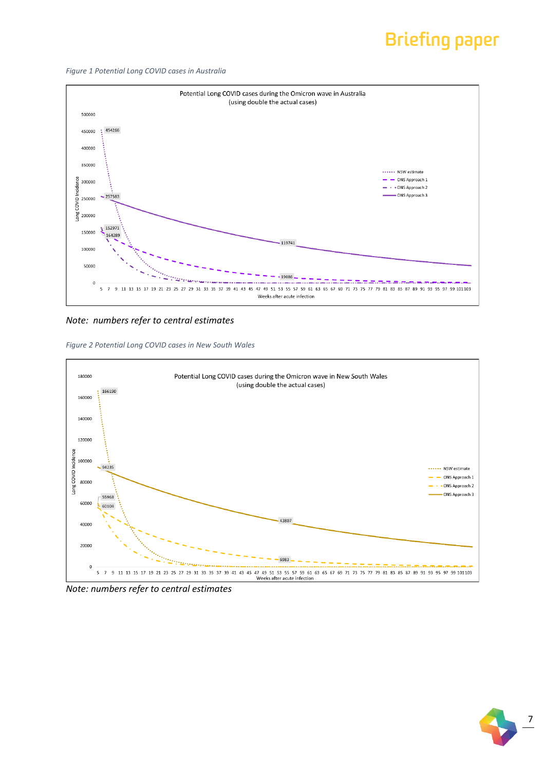*Figure 1 Potential Long COVID cases in Australia* 



*Note: numbers refer to central estimates*

*Figure 2 Potential Long COVID cases in New South Wales* 



*Note: numbers refer to central estimates*

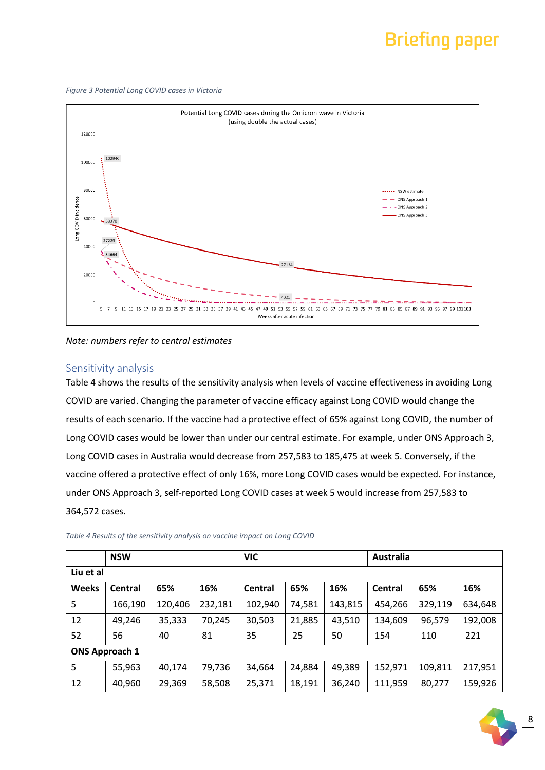*Figure 3 Potential Long COVID cases in Victoria*



*Note: numbers refer to central estimates*

#### Sensitivity analysis

Table 4 shows the results of the sensitivity analysis when levels of vaccine effectiveness in avoiding Long COVID are varied. Changing the parameter of vaccine efficacy against Long COVID would change the results of each scenario. If the vaccine had a protective effect of 65% against Long COVID, the number of Long COVID cases would be lower than under our central estimate. For example, under ONS Approach 3, Long COVID cases in Australia would decrease from 257,583 to 185,475 at week 5. Conversely, if the vaccine offered a protective effect of only 16%, more Long COVID cases would be expected. For instance, under ONS Approach 3, self-reported Long COVID cases at week 5 would increase from 257,583 to 364,572 cases.

|                       | <b>NSW</b> |         |         | <b>VIC</b> |        |         | <b>Australia</b> |         |         |
|-----------------------|------------|---------|---------|------------|--------|---------|------------------|---------|---------|
| Liu et al             |            |         |         |            |        |         |                  |         |         |
| <b>Weeks</b>          | Central    | 65%     | 16%     | Central    | 65%    | 16%     | Central          | 65%     | 16%     |
| 5                     | 166,190    | 120,406 | 232,181 | 102,940    | 74,581 | 143,815 | 454,266          | 329,119 | 634,648 |
| 12                    | 49,246     | 35,333  | 70,245  | 30,503     | 21,885 | 43,510  | 134,609          | 96,579  | 192,008 |
| 52                    | 56         | 40      | 81      | 35         | 25     | 50      | 154              | 110     | 221     |
| <b>ONS Approach 1</b> |            |         |         |            |        |         |                  |         |         |
| 5                     | 55,963     | 40,174  | 79,736  | 34,664     | 24,884 | 49,389  | 152,971          | 109,811 | 217,951 |
| 12                    | 40,960     | 29,369  | 58,508  | 25,371     | 18,191 | 36,240  | 111,959          | 80,277  | 159,926 |

*Table 4 Results of the sensitivity analysis on vaccine impact on Long COVID*

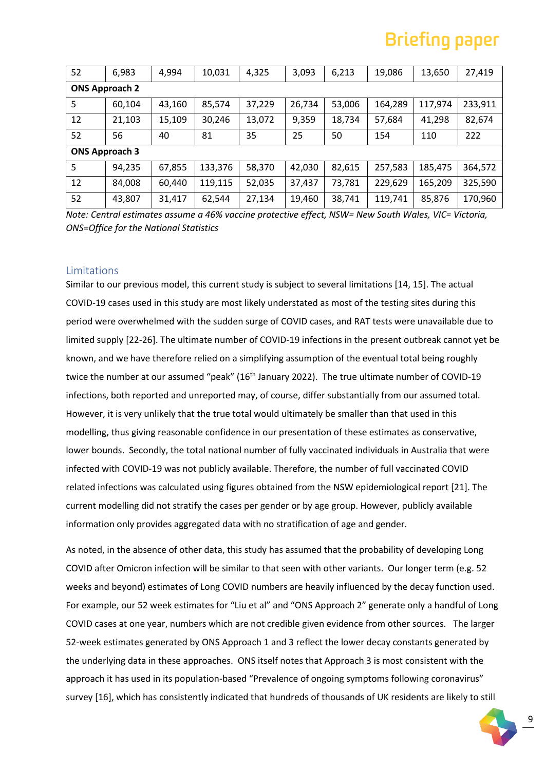| 52                    | 6,983  | 4,994  | 10,031  | 4,325  | 3,093  | 6,213  | 19,086  | 13,650  | 27,419  |
|-----------------------|--------|--------|---------|--------|--------|--------|---------|---------|---------|
| <b>ONS Approach 2</b> |        |        |         |        |        |        |         |         |         |
| 5                     | 60,104 | 43,160 | 85,574  | 37,229 | 26,734 | 53,006 | 164,289 | 117,974 | 233,911 |
| 12                    | 21,103 | 15,109 | 30,246  | 13,072 | 9,359  | 18,734 | 57,684  | 41,298  | 82,674  |
| 52                    | 56     | 40     | 81      | 35     | 25     | 50     | 154     | 110     | 222     |
| <b>ONS Approach 3</b> |        |        |         |        |        |        |         |         |         |
| 5                     | 94,235 | 67,855 | 133,376 | 58,370 | 42,030 | 82,615 | 257,583 | 185,475 | 364,572 |
| 12                    | 84,008 | 60,440 | 119,115 | 52,035 | 37,437 | 73,781 | 229,629 | 165,209 | 325,590 |
| 52                    | 43,807 | 31,417 | 62,544  | 27,134 | 19,460 | 38,741 | 119,741 | 85,876  | 170,960 |

*Note: Central estimates assume a 46% vaccine protective effect, NSW= New South Wales, VIC= Victoria, ONS=Office for the National Statistics*

#### Limitations

Similar to our previous model, this current study is subject to several limitations [14, 15]. The actual COVID-19 cases used in this study are most likely understated as most of the testing sites during this period were overwhelmed with the sudden surge of COVID cases, and RAT tests were unavailable due to limited supply [22-26]. The ultimate number of COVID-19 infections in the present outbreak cannot yet be known, and we have therefore relied on a simplifying assumption of the eventual total being roughly twice the number at our assumed "peak" (16<sup>th</sup> January 2022). The true ultimate number of COVID-19 infections, both reported and unreported may, of course, differ substantially from our assumed total. However, it is very unlikely that the true total would ultimately be smaller than that used in this modelling, thus giving reasonable confidence in our presentation of these estimates as conservative, lower bounds. Secondly, the total national number of fully vaccinated individuals in Australia that were infected with COVID-19 was not publicly available. Therefore, the number of full vaccinated COVID related infections was calculated using figures obtained from the NSW epidemiological report [21]. The current modelling did not stratify the cases per gender or by age group. However, publicly available information only provides aggregated data with no stratification of age and gender.

As noted, in the absence of other data, this study has assumed that the probability of developing Long COVID after Omicron infection will be similar to that seen with other variants. Our longer term (e.g. 52 weeks and beyond) estimates of Long COVID numbers are heavily influenced by the decay function used. For example, our 52 week estimates for "Liu et al" and "ONS Approach 2" generate only a handful of Long COVID cases at one year, numbers which are not credible given evidence from other sources. The larger 52-week estimates generated by ONS Approach 1 and 3 reflect the lower decay constants generated by the underlying data in these approaches. ONS itself notes that Approach 3 is most consistent with the approach it has used in its population-based "Prevalence of ongoing symptoms following coronavirus" survey [16], which has consistently indicated that hundreds of thousands of UK residents are likely to still

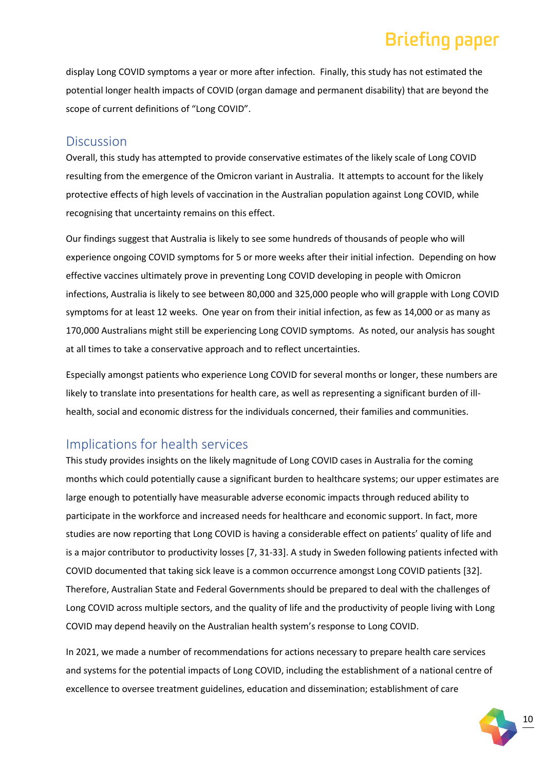display Long COVID symptoms a year or more after infection. Finally, this study has not estimated the potential longer health impacts of COVID (organ damage and permanent disability) that are beyond the scope of current definitions of "Long COVID".

#### **Discussion**

Overall, this study has attempted to provide conservative estimates of the likely scale of Long COVID resulting from the emergence of the Omicron variant in Australia. It attempts to account for the likely protective effects of high levels of vaccination in the Australian population against Long COVID, while recognising that uncertainty remains on this effect.

Our findings suggest that Australia is likely to see some hundreds of thousands of people who will experience ongoing COVID symptoms for 5 or more weeks after their initial infection. Depending on how effective vaccines ultimately prove in preventing Long COVID developing in people with Omicron infections, Australia is likely to see between 80,000 and 325,000 people who will grapple with Long COVID symptoms for at least 12 weeks. One year on from their initial infection, as few as 14,000 or as many as 170,000 Australians might still be experiencing Long COVID symptoms. As noted, our analysis has sought at all times to take a conservative approach and to reflect uncertainties.

Especially amongst patients who experience Long COVID for several months or longer, these numbers are likely to translate into presentations for health care, as well as representing a significant burden of illhealth, social and economic distress for the individuals concerned, their families and communities.

#### Implications for health services

This study provides insights on the likely magnitude of Long COVID cases in Australia for the coming months which could potentially cause a significant burden to healthcare systems; our upper estimates are large enough to potentially have measurable adverse economic impacts through reduced ability to participate in the workforce and increased needs for healthcare and economic support. In fact, more studies are now reporting that Long COVID is having a considerable effect on patients' quality of life and is a major contributor to productivity losses [7, 31-33]. A study in Sweden following patients infected with COVID documented that taking sick leave is a common occurrence amongst Long COVID patients [32]. Therefore, Australian State and Federal Governments should be prepared to deal with the challenges of Long COVID across multiple sectors, and the quality of life and the productivity of people living with Long COVID may depend heavily on the Australian health system's response to Long COVID.

In 2021, we made a number of recommendations for actions necessary to prepare health care services and systems for the potential impacts of Long COVID, including the establishment of a national centre of excellence to oversee treatment guidelines, education and dissemination; establishment of care

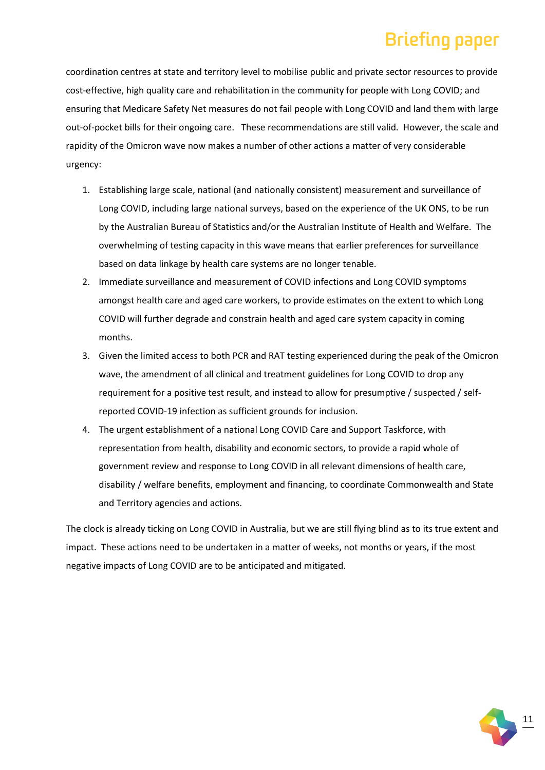coordination centres at state and territory level to mobilise public and private sector resources to provide cost-effective, high quality care and rehabilitation in the community for people with Long COVID; and ensuring that Medicare Safety Net measures do not fail people with Long COVID and land them with large out-of-pocket bills for their ongoing care. These recommendations are still valid. However, the scale and rapidity of the Omicron wave now makes a number of other actions a matter of very considerable urgency:

- 1. Establishing large scale, national (and nationally consistent) measurement and surveillance of Long COVID, including large national surveys, based on the experience of the UK ONS, to be run by the Australian Bureau of Statistics and/or the Australian Institute of Health and Welfare. The overwhelming of testing capacity in this wave means that earlier preferences for surveillance based on data linkage by health care systems are no longer tenable.
- 2. Immediate surveillance and measurement of COVID infections and Long COVID symptoms amongst health care and aged care workers, to provide estimates on the extent to which Long COVID will further degrade and constrain health and aged care system capacity in coming months.
- 3. Given the limited access to both PCR and RAT testing experienced during the peak of the Omicron wave, the amendment of all clinical and treatment guidelines for Long COVID to drop any requirement for a positive test result, and instead to allow for presumptive / suspected / selfreported COVID-19 infection as sufficient grounds for inclusion.
- 4. The urgent establishment of a national Long COVID Care and Support Taskforce, with representation from health, disability and economic sectors, to provide a rapid whole of government review and response to Long COVID in all relevant dimensions of health care, disability / welfare benefits, employment and financing, to coordinate Commonwealth and State and Territory agencies and actions.

The clock is already ticking on Long COVID in Australia, but we are still flying blind as to its true extent and impact. These actions need to be undertaken in a matter of weeks, not months or years, if the most negative impacts of Long COVID are to be anticipated and mitigated.

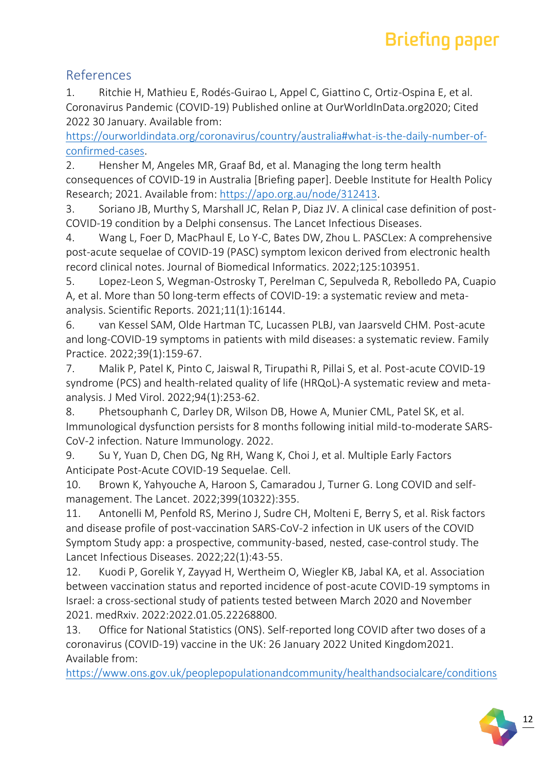#### References

1. Ritchie H, Mathieu E, Rodés-Guirao L, Appel C, Giattino C, Ortiz-Ospina E, et al. Coronavirus Pandemic (COVID-19) Published online at OurWorldInData.org2020; Cited 2022 30 January. Available from:

[https://ourworldindata.org/coronavirus/country/australia#what-is-the-daily-number-of](https://ourworldindata.org/coronavirus/country/australia#what-is-the-daily-number-of-confirmed-cases)[confirmed-cases.](https://ourworldindata.org/coronavirus/country/australia#what-is-the-daily-number-of-confirmed-cases)

2. Hensher M, Angeles MR, Graaf Bd, et al. Managing the long term health consequences of COVID-19 in Australia [Briefing paper]. Deeble Institute for Health Policy Research; 2021. Available from: [https://apo.org.au/node/312413.](https://apo.org.au/node/312413)

3. Soriano JB, Murthy S, Marshall JC, Relan P, Diaz JV. A clinical case definition of post-COVID-19 condition by a Delphi consensus. The Lancet Infectious Diseases.

4. Wang L, Foer D, MacPhaul E, Lo Y-C, Bates DW, Zhou L. PASCLex: A comprehensive post-acute sequelae of COVID-19 (PASC) symptom lexicon derived from electronic health record clinical notes. Journal of Biomedical Informatics. 2022;125:103951.

5. Lopez-Leon S, Wegman-Ostrosky T, Perelman C, Sepulveda R, Rebolledo PA, Cuapio A, et al. More than 50 long-term effects of COVID-19: a systematic review and metaanalysis. Scientific Reports. 2021;11(1):16144.

6. van Kessel SAM, Olde Hartman TC, Lucassen PLBJ, van Jaarsveld CHM. Post-acute and long-COVID-19 symptoms in patients with mild diseases: a systematic review. Family Practice. 2022;39(1):159-67.

7. Malik P, Patel K, Pinto C, Jaiswal R, Tirupathi R, Pillai S, et al. Post-acute COVID-19 syndrome (PCS) and health-related quality of life (HRQoL)-A systematic review and metaanalysis. J Med Virol. 2022;94(1):253-62.

8. Phetsouphanh C, Darley DR, Wilson DB, Howe A, Munier CML, Patel SK, et al. Immunological dysfunction persists for 8 months following initial mild-to-moderate SARS-CoV-2 infection. Nature Immunology. 2022.

9. Su Y, Yuan D, Chen DG, Ng RH, Wang K, Choi J, et al. Multiple Early Factors Anticipate Post-Acute COVID-19 Sequelae. Cell.

10. Brown K, Yahyouche A, Haroon S, Camaradou J, Turner G. Long COVID and selfmanagement. The Lancet. 2022;399(10322):355.

11. Antonelli M, Penfold RS, Merino J, Sudre CH, Molteni E, Berry S, et al. Risk factors and disease profile of post-vaccination SARS-CoV-2 infection in UK users of the COVID Symptom Study app: a prospective, community-based, nested, case-control study. The Lancet Infectious Diseases. 2022;22(1):43-55.

12. Kuodi P, Gorelik Y, Zayyad H, Wertheim O, Wiegler KB, Jabal KA, et al. Association between vaccination status and reported incidence of post-acute COVID-19 symptoms in Israel: a cross-sectional study of patients tested between March 2020 and November 2021. medRxiv. 2022:2022.01.05.22268800.

13. Office for National Statistics (ONS). Self-reported long COVID after two doses of a coronavirus (COVID-19) vaccine in the UK: 26 January 2022 United Kingdom2021. Available from:

[https://www.ons.gov.uk/peoplepopulationandcommunity/healthandsocialcare/conditions](https://www.ons.gov.uk/peoplepopulationandcommunity/healthandsocialcare/conditionsanddiseases/bulletins/selfreportedlongcovidaftertwodosesofacoronaviruscovid19vaccineintheuk/26january2022)

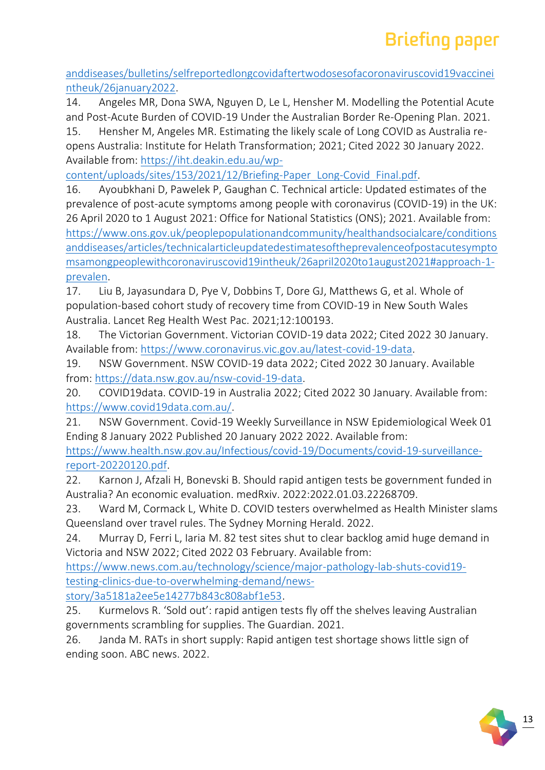[anddiseases/bulletins/selfreportedlongcovidaftertwodosesofacoronaviruscovid19vaccinei](https://www.ons.gov.uk/peoplepopulationandcommunity/healthandsocialcare/conditionsanddiseases/bulletins/selfreportedlongcovidaftertwodosesofacoronaviruscovid19vaccineintheuk/26january2022) [ntheuk/26january2022.](https://www.ons.gov.uk/peoplepopulationandcommunity/healthandsocialcare/conditionsanddiseases/bulletins/selfreportedlongcovidaftertwodosesofacoronaviruscovid19vaccineintheuk/26january2022)

14. Angeles MR, Dona SWA, Nguyen D, Le L, Hensher M. Modelling the Potential Acute and Post-Acute Burden of COVID-19 Under the Australian Border Re-Opening Plan. 2021.

15. Hensher M, Angeles MR. Estimating the likely scale of Long COVID as Australia reopens Australia: Institute for Helath Transformation; 2021; Cited 2022 30 January 2022. Available from: [https://iht.deakin.edu.au/wp-](https://iht.deakin.edu.au/wp-content/uploads/sites/153/2021/12/Briefing-Paper_Long-Covid_Final.pdf)

[content/uploads/sites/153/2021/12/Briefing-Paper\\_Long-Covid\\_Final.pdf.](https://iht.deakin.edu.au/wp-content/uploads/sites/153/2021/12/Briefing-Paper_Long-Covid_Final.pdf)

16. Ayoubkhani D, Pawelek P, Gaughan C. Technical article: Updated estimates of the prevalence of post-acute symptoms among people with coronavirus (COVID-19) in the UK: 26 April 2020 to 1 August 2021: Office for National Statistics (ONS); 2021. Available from: [https://www.ons.gov.uk/peoplepopulationandcommunity/healthandsocialcare/conditions](https://www.ons.gov.uk/peoplepopulationandcommunity/healthandsocialcare/conditionsanddiseases/articles/technicalarticleupdatedestimatesoftheprevalenceofpostacutesymptomsamongpeoplewithcoronaviruscovid19intheuk/26april2020to1august2021#approach-1-prevalen) [anddiseases/articles/technicalarticleupdatedestimatesoftheprevalenceofpostacutesympto](https://www.ons.gov.uk/peoplepopulationandcommunity/healthandsocialcare/conditionsanddiseases/articles/technicalarticleupdatedestimatesoftheprevalenceofpostacutesymptomsamongpeoplewithcoronaviruscovid19intheuk/26april2020to1august2021#approach-1-prevalen) [msamongpeoplewithcoronaviruscovid19intheuk/26april2020to1august2021#approach-1](https://www.ons.gov.uk/peoplepopulationandcommunity/healthandsocialcare/conditionsanddiseases/articles/technicalarticleupdatedestimatesoftheprevalenceofpostacutesymptomsamongpeoplewithcoronaviruscovid19intheuk/26april2020to1august2021#approach-1-prevalen) [prevalen.](https://www.ons.gov.uk/peoplepopulationandcommunity/healthandsocialcare/conditionsanddiseases/articles/technicalarticleupdatedestimatesoftheprevalenceofpostacutesymptomsamongpeoplewithcoronaviruscovid19intheuk/26april2020to1august2021#approach-1-prevalen)

17. Liu B, Jayasundara D, Pye V, Dobbins T, Dore GJ, Matthews G, et al. Whole of population-based cohort study of recovery time from COVID-19 in New South Wales Australia. Lancet Reg Health West Pac. 2021;12:100193.

18. The Victorian Government. Victorian COVID-19 data 2022; Cited 2022 30 January. Available from: [https://www.coronavirus.vic.gov.au/latest-covid-19-data.](https://www.coronavirus.vic.gov.au/latest-covid-19-data)

19. NSW Government. NSW COVID-19 data 2022; Cited 2022 30 January. Available from: [https://data.nsw.gov.au/nsw-covid-19-data.](https://data.nsw.gov.au/nsw-covid-19-data)

20. COVID19data. COVID-19 in Australia 2022; Cited 2022 30 January. Available from: [https://www.covid19data.com.au/.](https://www.covid19data.com.au/)

21. NSW Government. Covid-19 Weekly Surveillance in NSW Epidemiological Week 01 Ending 8 January 2022 Published 20 January 2022 2022. Available from:

[https://www.health.nsw.gov.au/Infectious/covid-19/Documents/covid-19-surveillance](https://www.health.nsw.gov.au/Infectious/covid-19/Documents/covid-19-surveillance-report-20220120.pdf)[report-20220120.pdf.](https://www.health.nsw.gov.au/Infectious/covid-19/Documents/covid-19-surveillance-report-20220120.pdf)

22. Karnon J, Afzali H, Bonevski B. Should rapid antigen tests be government funded in Australia? An economic evaluation. medRxiv. 2022:2022.01.03.22268709.

23. Ward M, Cormack L, White D. COVID testers overwhelmed as Health Minister slams Queensland over travel rules. The Sydney Morning Herald. 2022.

24. Murray D, Ferri L, Iaria M. 82 test sites shut to clear backlog amid huge demand in Victoria and NSW 2022; Cited 2022 03 February. Available from:

[https://www.news.com.au/technology/science/major-pathology-lab-shuts-covid19](https://www.news.com.au/technology/science/major-pathology-lab-shuts-covid19-testing-clinics-due-to-overwhelming-demand/news-story/3a5181a2ee5e14277b843c808abf1e53) [testing-clinics-due-to-overwhelming-demand/news-](https://www.news.com.au/technology/science/major-pathology-lab-shuts-covid19-testing-clinics-due-to-overwhelming-demand/news-story/3a5181a2ee5e14277b843c808abf1e53)

[story/3a5181a2ee5e14277b843c808abf1e53.](https://www.news.com.au/technology/science/major-pathology-lab-shuts-covid19-testing-clinics-due-to-overwhelming-demand/news-story/3a5181a2ee5e14277b843c808abf1e53)

25. Kurmelovs R. 'Sold out': rapid antigen tests fly off the shelves leaving Australian governments scrambling for supplies. The Guardian. 2021.

26. Janda M. RATs in short supply: Rapid antigen test shortage shows little sign of ending soon. ABC news. 2022.

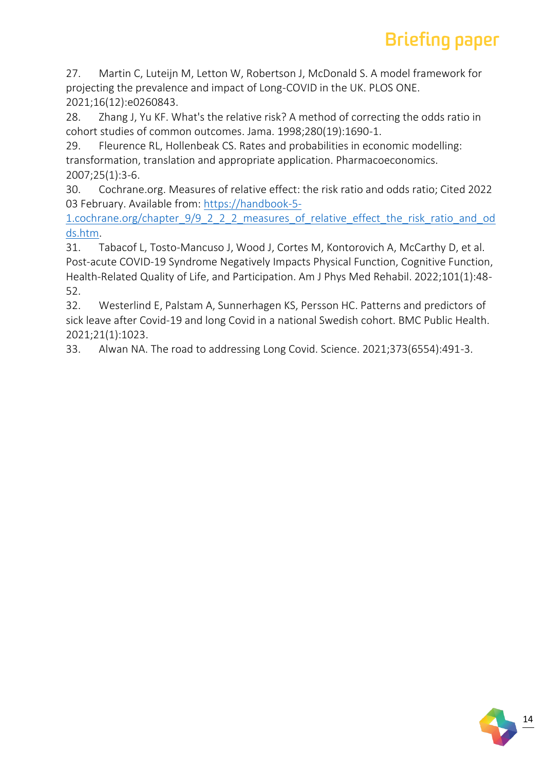27. Martin C, Luteijn M, Letton W, Robertson J, McDonald S. A model framework for projecting the prevalence and impact of Long-COVID in the UK. PLOS ONE. 2021;16(12):e0260843.

28. Zhang J, Yu KF. What's the relative risk? A method of correcting the odds ratio in cohort studies of common outcomes. Jama. 1998;280(19):1690-1.

29. Fleurence RL, Hollenbeak CS. Rates and probabilities in economic modelling: transformation, translation and appropriate application. Pharmacoeconomics. 2007;25(1):3-6.

30. Cochrane.org. Measures of relative effect: the risk ratio and odds ratio; Cited 2022 03 February. Available from: [https://handbook-5-](https://handbook-5-1.cochrane.org/chapter_9/9_2_2_2_measures_of_relative_effect_the_risk_ratio_and_odds.htm)

1.cochrane.org/chapter 9/9 2 2 2 measures of relative effect the risk ratio and od [ds.htm.](https://handbook-5-1.cochrane.org/chapter_9/9_2_2_2_measures_of_relative_effect_the_risk_ratio_and_odds.htm)

31. Tabacof L, Tosto-Mancuso J, Wood J, Cortes M, Kontorovich A, McCarthy D, et al. Post-acute COVID-19 Syndrome Negatively Impacts Physical Function, Cognitive Function, Health-Related Quality of Life, and Participation. Am J Phys Med Rehabil. 2022;101(1):48- 52.

32. Westerlind E, Palstam A, Sunnerhagen KS, Persson HC. Patterns and predictors of sick leave after Covid-19 and long Covid in a national Swedish cohort. BMC Public Health. 2021;21(1):1023.

33. Alwan NA. The road to addressing Long Covid. Science. 2021;373(6554):491-3.